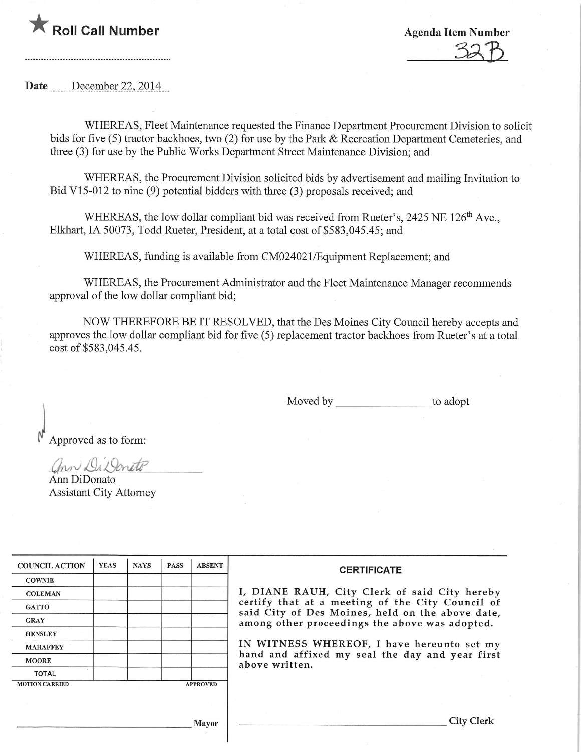

 $325$ 

Date December 22, 2014

WHEREAS, Fleet Maintenance requested the Finance Department Procurement Division to solicit bids for five (5) tractor backhoes, two (2) for use by the Park & Recreation Department Cemeteries, and three (3) for use by the Public Works Department Street Maintenance Division; and

WHEREAS, the Procurement Division solicited bids by advertisement and mailing Invitation to Bid V15-012 to nine (9) potential bidders with three (3) proposals received; and

WHEREAS, the low dollar compliant bid was received from Rueter's, 2425 NE 126<sup>th</sup> Ave., Elkhart, IA 50073, Todd Rueter, President, at a total cost of \$583,045.45; and

WHEREAS, funding is available from CM024021/Equipment Replacement; and

WHEREAS, the Procurement Administrator and the Fleet Maintenance Manager recommends approval of the low dollar compliant bid;

NOW THEREFORE BE IT RESOLVED, that the Des Moines City Council hereby accepts and approves the low dollar compliant bid for five (5) replacement tractor backhoes from Rueter's at a total cost of \$583,045.45.

Moved by to adopt

Approved as to form:

 $L$ *i* v.a.  $L$ i v.a.

Ann DiDonato Assistant City Attorney

| <b>COUNCIL ACTION</b> | <b>YEAS</b> | <b>NAYS</b> | <b>PASS</b>     | <b>ABSENT</b> |  |
|-----------------------|-------------|-------------|-----------------|---------------|--|
| <b>COWNIE</b>         |             |             |                 |               |  |
| <b>COLEMAN</b>        |             |             |                 |               |  |
| <b>GATTO</b>          |             |             |                 |               |  |
| <b>GRAY</b>           |             |             |                 |               |  |
| <b>HENSLEY</b>        |             |             |                 |               |  |
| <b>MAHAFFEY</b>       |             |             |                 |               |  |
| <b>MOORE</b>          |             |             |                 |               |  |
| <b>TOTAL</b>          |             |             |                 |               |  |
| <b>MOTION CARRIED</b> |             |             | <b>APPROVED</b> |               |  |

## **CERTIFICATE**

\, DIANE RAUH, City Clerk of said City hereby certify that at a meeting of the City Council of said City of Des Moines, held on the above date, among other proceedings the above was adopted.

IN WITNESS WHEREOF, I have hereunto set my hand and affixed my seal the day and year first above written.